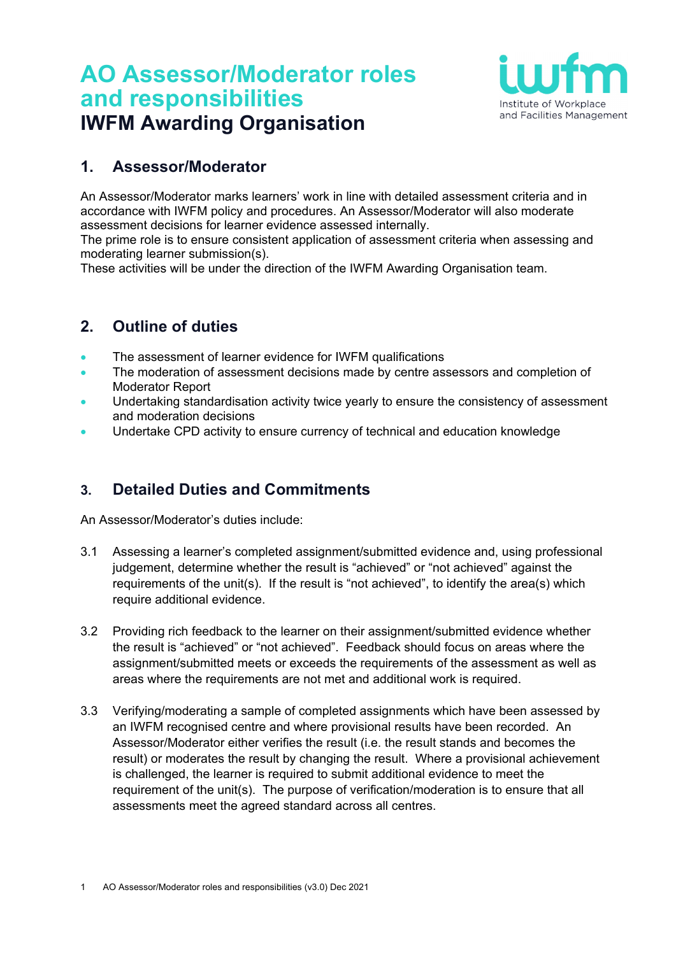# **AO Assessor/Moderator roles and responsibilities IWFM Awarding Organisation**



## **1. Assessor/Moderator**

An Assessor/Moderator marks learners' work in line with detailed assessment criteria and in accordance with IWFM policy and procedures. An Assessor/Moderator will also moderate assessment decisions for learner evidence assessed internally.

The prime role is to ensure consistent application of assessment criteria when assessing and moderating learner submission(s).

These activities will be under the direction of the IWFM Awarding Organisation team.

## **2. Outline of duties**

- The assessment of learner evidence for IWFM qualifications
- The moderation of assessment decisions made by centre assessors and completion of Moderator Report
- Undertaking standardisation activity twice yearly to ensure the consistency of assessment and moderation decisions
- Undertake CPD activity to ensure currency of technical and education knowledge

### **3. Detailed Duties and Commitments**

An Assessor/Moderator's duties include:

- 3.1 Assessing a learner's completed assignment/submitted evidence and, using professional judgement, determine whether the result is "achieved" or "not achieved" against the requirements of the unit(s). If the result is "not achieved", to identify the area(s) which require additional evidence.
- 3.2 Providing rich feedback to the learner on their assignment/submitted evidence whether the result is "achieved" or "not achieved". Feedback should focus on areas where the assignment/submitted meets or exceeds the requirements of the assessment as well as areas where the requirements are not met and additional work is required.
- 3.3 Verifying/moderating a sample of completed assignments which have been assessed by an IWFM recognised centre and where provisional results have been recorded. An Assessor/Moderator either verifies the result (i.e. the result stands and becomes the result) or moderates the result by changing the result. Where a provisional achievement is challenged, the learner is required to submit additional evidence to meet the requirement of the unit(s). The purpose of verification/moderation is to ensure that all assessments meet the agreed standard across all centres.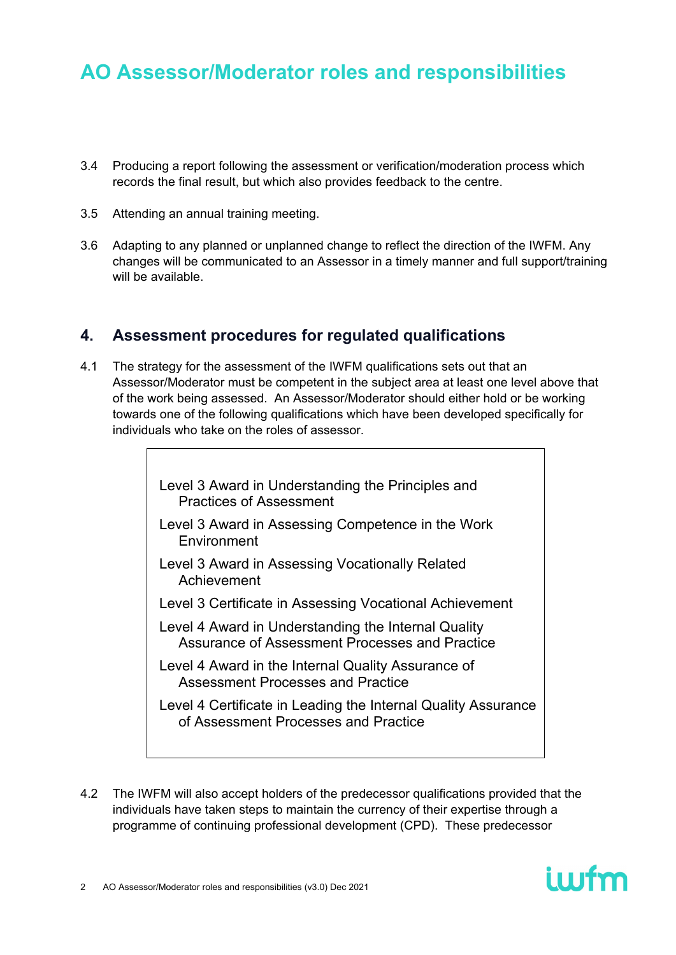- 3.4 Producing a report following the assessment or verification/moderation process which records the final result, but which also provides feedback to the centre.
- 3.5 Attending an annual training meeting.
- 3.6 Adapting to any planned or unplanned change to reflect the direction of the IWFM. Any changes will be communicated to an Assessor in a timely manner and full support/training will be available.

#### **4. Assessment procedures for regulated qualifications**

4.1 The strategy for the assessment of the IWFM qualifications sets out that an Assessor/Moderator must be competent in the subject area at least one level above that of the work being assessed. An Assessor/Moderator should either hold or be working towards one of the following qualifications which have been developed specifically for individuals who take on the roles of assessor.

> Level 3 Award in Understanding the Principles and Practices of Assessment

- Level 3 Award in Assessing Competence in the Work Environment
- Level 3 Award in Assessing Vocationally Related Achievement
- Level 3 Certificate in Assessing Vocational Achievement
- Level 4 Award in Understanding the Internal Quality Assurance of Assessment Processes and Practice
- Level 4 Award in the Internal Quality Assurance of Assessment Processes and Practice
- Level 4 Certificate in Leading the Internal Quality Assurance of Assessment Processes and Practice
- 4.2 The IWFM will also accept holders of the predecessor qualifications provided that the individuals have taken steps to maintain the currency of their expertise through a programme of continuing professional development (CPD). These predecessor

ium

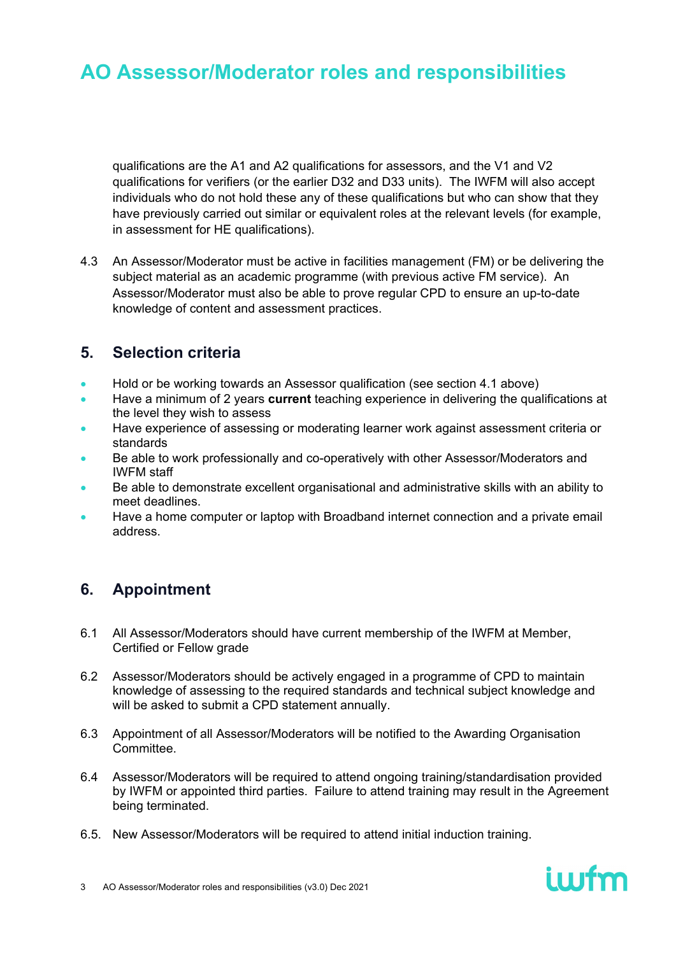qualifications are the A1 and A2 qualifications for assessors, and the V1 and V2 qualifications for verifiers (or the earlier D32 and D33 units). The IWFM will also accept individuals who do not hold these any of these qualifications but who can show that they have previously carried out similar or equivalent roles at the relevant levels (for example, in assessment for HE qualifications).

4.3 An Assessor/Moderator must be active in facilities management (FM) or be delivering the subject material as an academic programme (with previous active FM service). An Assessor/Moderator must also be able to prove regular CPD to ensure an up-to-date knowledge of content and assessment practices.

### **5. Selection criteria**

- Hold or be working towards an Assessor qualification (see section 4.1 above)
- Have a minimum of 2 years **current** teaching experience in delivering the qualifications at the level they wish to assess
- Have experience of assessing or moderating learner work against assessment criteria or standards
- Be able to work professionally and co-operatively with other Assessor/Moderators and IWFM staff
- Be able to demonstrate excellent organisational and administrative skills with an ability to meet deadlines.
- Have a home computer or laptop with Broadband internet connection and a private email address.

## **6. Appointment**

- 6.1 All Assessor/Moderators should have current membership of the IWFM at Member, Certified or Fellow grade
- 6.2 Assessor/Moderators should be actively engaged in a programme of CPD to maintain knowledge of assessing to the required standards and technical subject knowledge and will be asked to submit a CPD statement annually.
- 6.3 Appointment of all Assessor/Moderators will be notified to the Awarding Organisation Committee.
- 6.4 Assessor/Moderators will be required to attend ongoing training/standardisation provided by IWFM or appointed third parties. Failure to attend training may result in the Agreement being terminated.

ium

6.5. New Assessor/Moderators will be required to attend initial induction training.

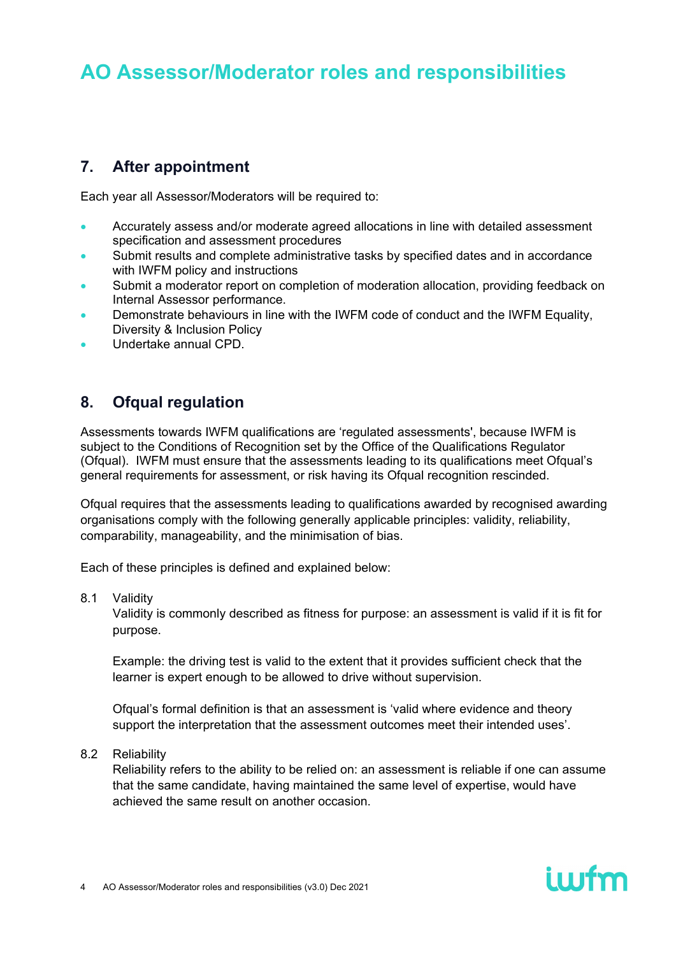## **7. After appointment**

Each year all Assessor/Moderators will be required to:

- Accurately assess and/or moderate agreed allocations in line with detailed assessment specification and assessment procedures
- Submit results and complete administrative tasks by specified dates and in accordance with IWFM policy and instructions
- Submit a moderator report on completion of moderation allocation, providing feedback on Internal Assessor performance.
- Demonstrate behaviours in line with the IWFM code of conduct and the IWFM Equality, Diversity & Inclusion Policy
- Undertake annual CPD.

## **8. Ofqual regulation**

Assessments towards IWFM qualifications are 'regulated assessments', because IWFM is subject to the Conditions of Recognition set by the Office of the Qualifications Regulator (Ofqual). IWFM must ensure that the assessments leading to its qualifications meet Ofqual's general requirements for assessment, or risk having its Ofqual recognition rescinded.

Ofqual requires that the assessments leading to qualifications awarded by recognised awarding organisations comply with the following generally applicable principles: validity, reliability, comparability, manageability, and the minimisation of bias.

Each of these principles is defined and explained below:

8.1 Validity

Validity is commonly described as fitness for purpose: an assessment is valid if it is fit for purpose.

Example: the driving test is valid to the extent that it provides sufficient check that the learner is expert enough to be allowed to drive without supervision.

Ofqual's formal definition is that an assessment is 'valid where evidence and theory support the interpretation that the assessment outcomes meet their intended uses'.

8.2 Reliability

Reliability refers to the ability to be relied on: an assessment is reliable if one can assume that the same candidate, having maintained the same level of expertise, would have achieved the same result on another occasion.

iwfm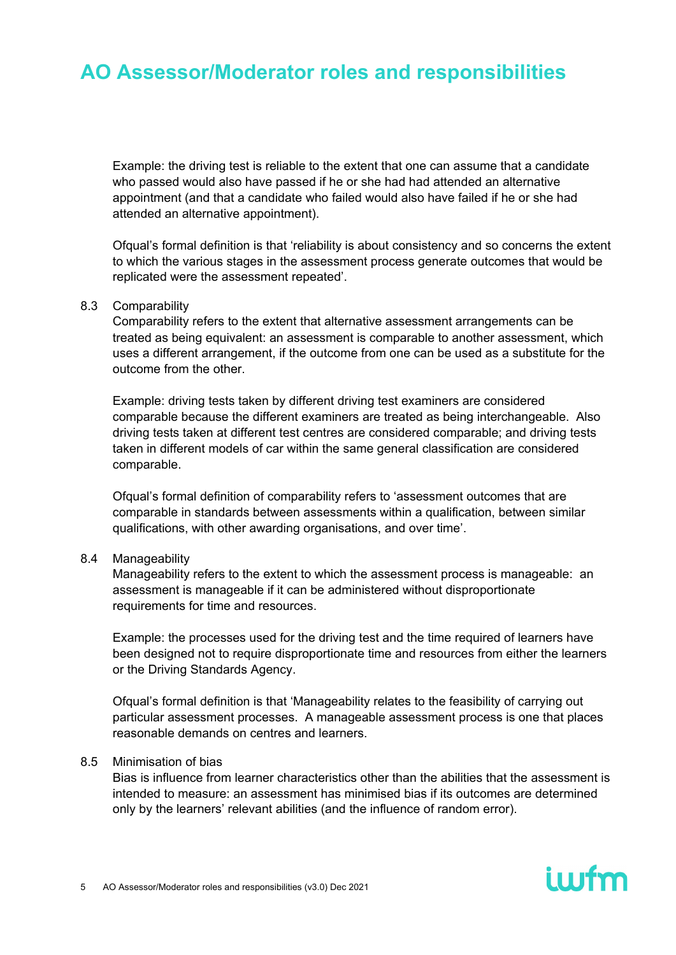Example: the driving test is reliable to the extent that one can assume that a candidate who passed would also have passed if he or she had had attended an alternative appointment (and that a candidate who failed would also have failed if he or she had attended an alternative appointment).

Ofqual's formal definition is that 'reliability is about consistency and so concerns the extent to which the various stages in the assessment process generate outcomes that would be replicated were the assessment repeated'.

#### 8.3 Comparability

Comparability refers to the extent that alternative assessment arrangements can be treated as being equivalent: an assessment is comparable to another assessment, which uses a different arrangement, if the outcome from one can be used as a substitute for the outcome from the other.

Example: driving tests taken by different driving test examiners are considered comparable because the different examiners are treated as being interchangeable. Also driving tests taken at different test centres are considered comparable; and driving tests taken in different models of car within the same general classification are considered comparable.

Ofqual's formal definition of comparability refers to 'assessment outcomes that are comparable in standards between assessments within a qualification, between similar qualifications, with other awarding organisations, and over time'.

#### 8.4 Manageability

Manageability refers to the extent to which the assessment process is manageable: an assessment is manageable if it can be administered without disproportionate requirements for time and resources.

Example: the processes used for the driving test and the time required of learners have been designed not to require disproportionate time and resources from either the learners or the Driving Standards Agency.

Ofqual's formal definition is that 'Manageability relates to the feasibility of carrying out particular assessment processes. A manageable assessment process is one that places reasonable demands on centres and learners.

#### 8.5 Minimisation of bias

Bias is influence from learner characteristics other than the abilities that the assessment is intended to measure: an assessment has minimised bias if its outcomes are determined only by the learners' relevant abilities (and the influence of random error).

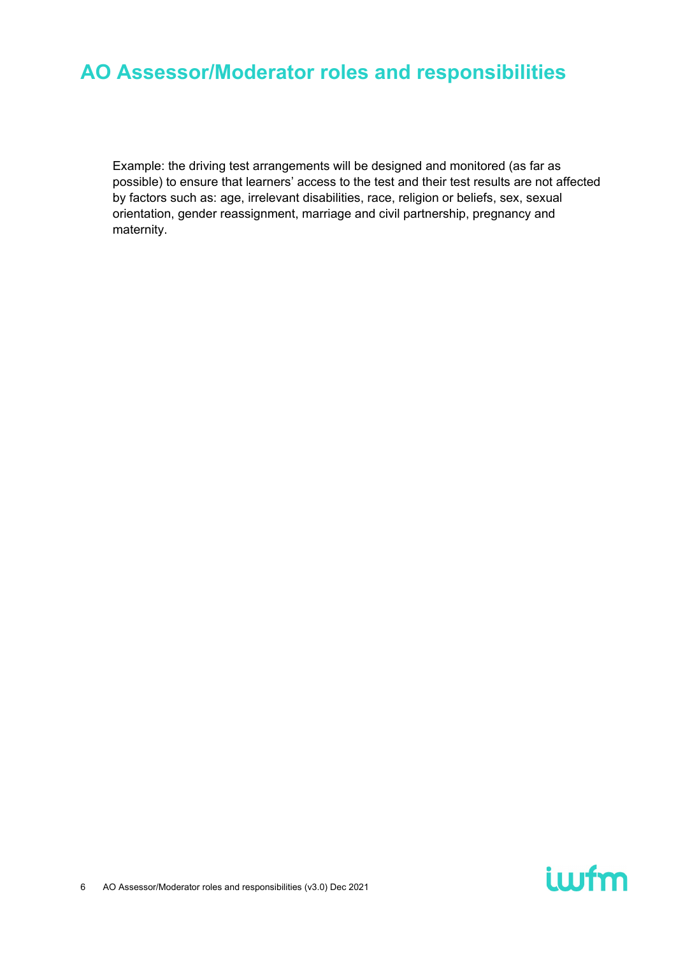Example: the driving test arrangements will be designed and monitored (as far as possible) to ensure that learners' access to the test and their test results are not affected by factors such as: age, irrelevant disabilities, race, religion or beliefs, sex, sexual orientation, gender reassignment, marriage and civil partnership, pregnancy and maternity.